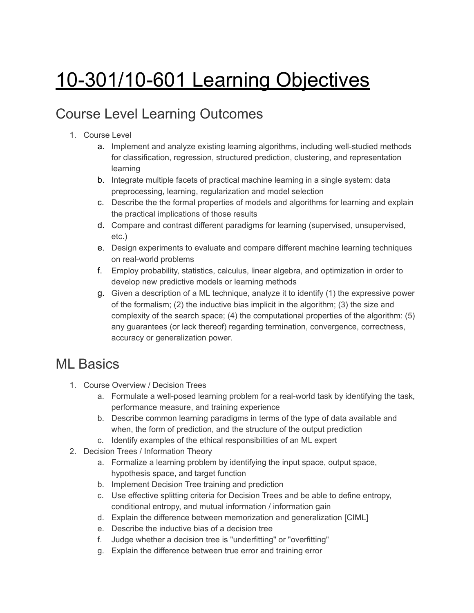# 10-301/10-601 Learning Objectives

# Course Level Learning Outcomes

- 1. Course Level
	- a. Implement and analyze existing learning algorithms, including well-studied methods for classification, regression, structured prediction, clustering, and representation learning
	- b. Integrate multiple facets of practical machine learning in a single system: data preprocessing, learning, regularization and model selection
	- c. Describe the the formal properties of models and algorithms for learning and explain the practical implications of those results
	- d. Compare and contrast different paradigms for learning (supervised, unsupervised, etc.)
	- e. Design experiments to evaluate and compare different machine learning techniques on real-world problems
	- f. Employ probability, statistics, calculus, linear algebra, and optimization in order to develop new predictive models or learning methods
	- g. Given a description of a ML technique, analyze it to identify (1) the expressive power of the formalism; (2) the inductive bias implicit in the algorithm; (3) the size and complexity of the search space; (4) the computational properties of the algorithm: (5) any guarantees (or lack thereof) regarding termination, convergence, correctness, accuracy or generalization power.

#### ML Basics

- 1. Course Overview / Decision Trees
	- a. Formulate a well-posed learning problem for a real-world task by identifying the task, performance measure, and training experience
	- b. Describe common learning paradigms in terms of the type of data available and when, the form of prediction, and the structure of the output prediction
	- c. Identify examples of the ethical responsibilities of an ML expert
- 2. Decision Trees / Information Theory
	- a. Formalize a learning problem by identifying the input space, output space, hypothesis space, and target function
	- b. Implement Decision Tree training and prediction
	- c. Use effective splitting criteria for Decision Trees and be able to define entropy, conditional entropy, and mutual information / information gain
	- d. Explain the difference between memorization and generalization [CIML]
	- e. Describe the inductive bias of a decision tree
	- f. Judge whether a decision tree is "underfitting" or "overfitting"
	- g. Explain the difference between true error and training error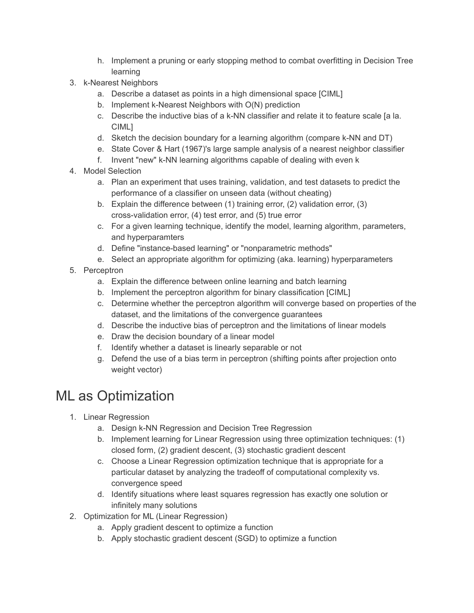- h. Implement a pruning or early stopping method to combat overfitting in Decision Tree learning
- 3. k-Nearest Neighbors
	- a. Describe a dataset as points in a high dimensional space [CIML]
	- b. Implement k-Nearest Neighbors with O(N) prediction
	- c. Describe the inductive bias of a k-NN classifier and relate it to feature scale [a la. CIML]
	- d. Sketch the decision boundary for a learning algorithm (compare k-NN and DT)
	- e. State Cover & Hart (1967)'s large sample analysis of a nearest neighbor classifier
	- f. Invent "new" k-NN learning algorithms capable of dealing with even k
- 4. Model Selection
	- a. Plan an experiment that uses training, validation, and test datasets to predict the performance of a classifier on unseen data (without cheating)
	- b. Explain the difference between (1) training error, (2) validation error, (3) cross-validation error, (4) test error, and (5) true error
	- c. For a given learning technique, identify the model, learning algorithm, parameters, and hyperparamters
	- d. Define "instance-based learning" or "nonparametric methods"
	- e. Select an appropriate algorithm for optimizing (aka. learning) hyperparameters
- 5. Perceptron
	- a. Explain the difference between online learning and batch learning
	- b. Implement the perceptron algorithm for binary classification [CIML]
	- c. Determine whether the perceptron algorithm will converge based on properties of the dataset, and the limitations of the convergence guarantees
	- d. Describe the inductive bias of perceptron and the limitations of linear models
	- e. Draw the decision boundary of a linear model
	- f. Identify whether a dataset is linearly separable or not
	- g. Defend the use of a bias term in perceptron (shifting points after projection onto weight vector)

# ML as Optimization

- 1. Linear Regression
	- a. Design k-NN Regression and Decision Tree Regression
	- b. Implement learning for Linear Regression using three optimization techniques: (1) closed form, (2) gradient descent, (3) stochastic gradient descent
	- c. Choose a Linear Regression optimization technique that is appropriate for a particular dataset by analyzing the tradeoff of computational complexity vs. convergence speed
	- d. Identify situations where least squares regression has exactly one solution or infinitely many solutions
- 2. Optimization for ML (Linear Regression)
	- a. Apply gradient descent to optimize a function
	- b. Apply stochastic gradient descent (SGD) to optimize a function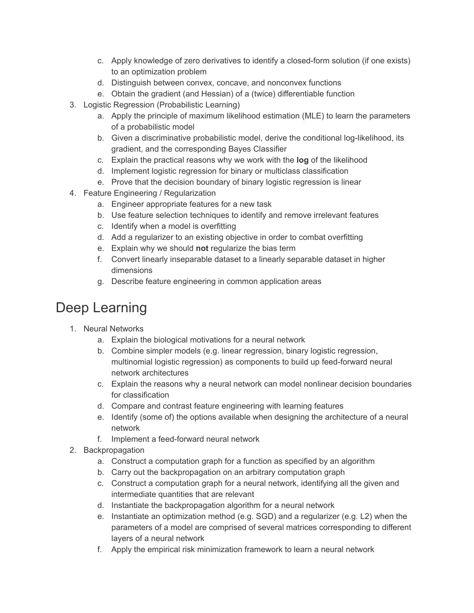- c. Apply knowledge of zero derivatives to identify a closed-form solution (if one exists) to an optimization problem
- d. Distinguish between convex, concave, and nonconvex functions
- e. Obtain the gradient (and Hessian) of a (twice) differentiable function
- 3. Logistic Regression (Probabilistic Learning)
	- a. Apply the principle of maximum likelihood estimation (MLE) to learn the parameters of a probabilistic model
	- b. Given a discriminative probabilistic model, derive the conditional log-likelihood, its gradient, and the corresponding Bayes Classifier
	- c. Explain the practical reasons why we work with the **log** of the likelihood
	- d. Implement logistic regression for binary or multiclass classification
	- e. Prove that the decision boundary of binary logistic regression is linear
- 4. Feature Engineering / Regularization
	- a. Engineer appropriate features for a new task
	- b. Use feature selection techniques to identify and remove irrelevant features
	- c. Identify when a model is overfitting
	- d. Add a regularizer to an existing objective in order to combat overfitting
	- e. Explain why we should **not** regularize the bias term
	- f. Convert linearly inseparable dataset to a linearly separable dataset in higher dimensions
	- g. Describe feature engineering in common application areas

# Deep Learning

- 1. Neural Networks
	- a. Explain the biological motivations for a neural network
	- b. Combine simpler models (e.g. linear regression, binary logistic regression, multinomial logistic regression) as components to build up feed-forward neural network architectures
	- c. Explain the reasons why a neural network can model nonlinear decision boundaries for classification
	- d. Compare and contrast feature engineering with learning features
	- e. Identify (some of) the options available when designing the architecture of a neural network
	- f. Implement a feed-forward neural network
- 2. Backpropagation
	- a. Construct a computation graph for a function as specified by an algorithm
	- b. Carry out the backpropagation on an arbitrary computation graph
	- c. Construct a computation graph for a neural network, identifying all the given and intermediate quantities that are relevant
	- d. Instantiate the backpropagation algorithm for a neural network
	- e. Instantiate an optimization method (e.g. SGD) and a regularizer (e.g. L2) when the parameters of a model are comprised of several matrices corresponding to different layers of a neural network
	- f. Apply the empirical risk minimization framework to learn a neural network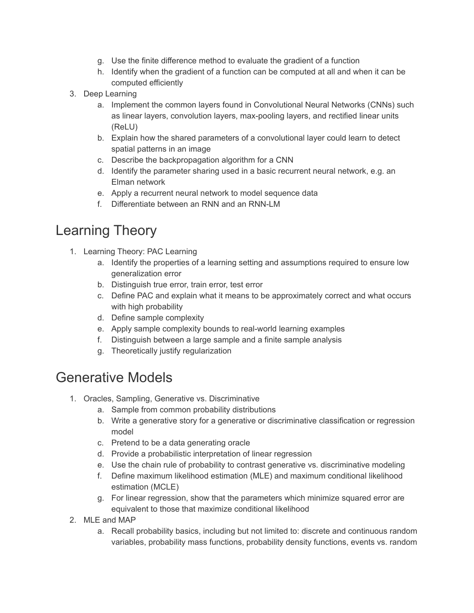- g. Use the finite difference method to evaluate the gradient of a function
- h. Identify when the gradient of a function can be computed at all and when it can be computed efficiently
- 3. Deep Learning
	- a. Implement the common layers found in Convolutional Neural Networks (CNNs) such as linear layers, convolution layers, max-pooling layers, and rectified linear units (ReLU)
	- b. Explain how the shared parameters of a convolutional layer could learn to detect spatial patterns in an image
	- c. Describe the backpropagation algorithm for a CNN
	- d. Identify the parameter sharing used in a basic recurrent neural network, e.g. an Elman network
	- e. Apply a recurrent neural network to model sequence data
	- f. Differentiate between an RNN and an RNN-LM

# Learning Theory

- 1. Learning Theory: PAC Learning
	- a. Identify the properties of a learning setting and assumptions required to ensure low generalization error
	- b. Distinguish true error, train error, test error
	- c. Define PAC and explain what it means to be approximately correct and what occurs with high probability
	- d. Define sample complexity
	- e. Apply sample complexity bounds to real-world learning examples
	- f. Distinguish between a large sample and a finite sample analysis
	- g. Theoretically justify regularization

#### Generative Models

- 1. Oracles, Sampling, Generative vs. Discriminative
	- a. Sample from common probability distributions
	- b. Write a generative story for a generative or discriminative classification or regression model
	- c. Pretend to be a data generating oracle
	- d. Provide a probabilistic interpretation of linear regression
	- e. Use the chain rule of probability to contrast generative vs. discriminative modeling
	- f. Define maximum likelihood estimation (MLE) and maximum conditional likelihood estimation (MCLE)
	- g. For linear regression, show that the parameters which minimize squared error are equivalent to those that maximize conditional likelihood
- 2. MLE and MAP
	- a. Recall probability basics, including but not limited to: discrete and continuous random variables, probability mass functions, probability density functions, events vs. random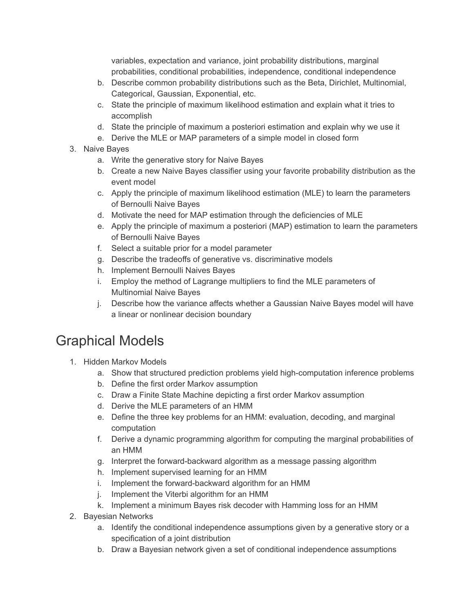variables, expectation and variance, joint probability distributions, marginal probabilities, conditional probabilities, independence, conditional independence

- b. Describe common probability distributions such as the Beta, Dirichlet, Multinomial, Categorical, Gaussian, Exponential, etc.
- c. State the principle of maximum likelihood estimation and explain what it tries to accomplish
- d. State the principle of maximum a posteriori estimation and explain why we use it
- e. Derive the MLE or MAP parameters of a simple model in closed form
- 3. Naive Bayes
	- a. Write the generative story for Naive Bayes
	- b. Create a new Naive Bayes classifier using your favorite probability distribution as the event model
	- c. Apply the principle of maximum likelihood estimation (MLE) to learn the parameters of Bernoulli Naive Bayes
	- d. Motivate the need for MAP estimation through the deficiencies of MLE
	- e. Apply the principle of maximum a posteriori (MAP) estimation to learn the parameters of Bernoulli Naive Bayes
	- f. Select a suitable prior for a model parameter
	- g. Describe the tradeoffs of generative vs. discriminative models
	- h. Implement Bernoulli Naives Bayes
	- i. Employ the method of Lagrange multipliers to find the MLE parameters of Multinomial Naive Bayes
	- j. Describe how the variance affects whether a Gaussian Naive Bayes model will have a linear or nonlinear decision boundary

# Graphical Models

- 1. Hidden Markov Models
	- a. Show that structured prediction problems yield high-computation inference problems
	- b. Define the first order Markov assumption
	- c. Draw a Finite State Machine depicting a first order Markov assumption
	- d. Derive the MLE parameters of an HMM
	- e. Define the three key problems for an HMM: evaluation, decoding, and marginal computation
	- f. Derive a dynamic programming algorithm for computing the marginal probabilities of an HMM
	- g. Interpret the forward-backward algorithm as a message passing algorithm
	- h. Implement supervised learning for an HMM
	- i. Implement the forward-backward algorithm for an HMM
	- j. Implement the Viterbi algorithm for an HMM
	- k. Implement a minimum Bayes risk decoder with Hamming loss for an HMM
- 2. Bayesian Networks
	- a. Identify the conditional independence assumptions given by a generative story or a specification of a joint distribution
	- b. Draw a Bayesian network given a set of conditional independence assumptions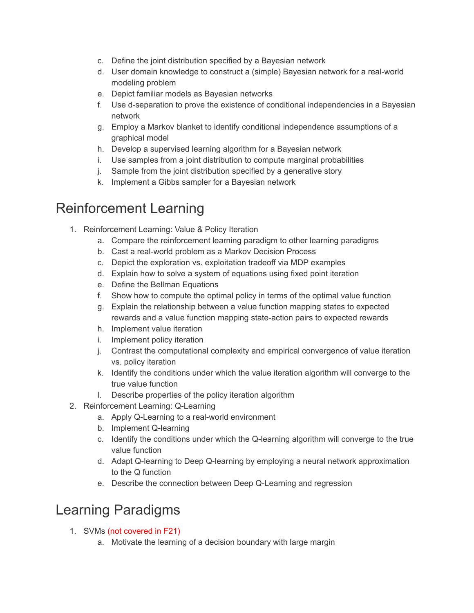- c. Define the joint distribution specified by a Bayesian network
- d. User domain knowledge to construct a (simple) Bayesian network for a real-world modeling problem
- e. Depict familiar models as Bayesian networks
- f. Use d-separation to prove the existence of conditional independencies in a Bayesian network
- g. Employ a Markov blanket to identify conditional independence assumptions of a graphical model
- h. Develop a supervised learning algorithm for a Bayesian network
- i. Use samples from a joint distribution to compute marginal probabilities
- j. Sample from the joint distribution specified by a generative story
- k. Implement a Gibbs sampler for a Bayesian network

#### Reinforcement Learning

- 1. Reinforcement Learning: Value & Policy Iteration
	- a. Compare the reinforcement learning paradigm to other learning paradigms
	- b. Cast a real-world problem as a Markov Decision Process
	- c. Depict the exploration vs. exploitation tradeoff via MDP examples
	- d. Explain how to solve a system of equations using fixed point iteration
	- e. Define the Bellman Equations
	- f. Show how to compute the optimal policy in terms of the optimal value function
	- g. Explain the relationship between a value function mapping states to expected rewards and a value function mapping state-action pairs to expected rewards
	- h. Implement value iteration
	- i. Implement policy iteration
	- j. Contrast the computational complexity and empirical convergence of value iteration vs. policy iteration
	- k. Identify the conditions under which the value iteration algorithm will converge to the true value function
	- l. Describe properties of the policy iteration algorithm
- 2. Reinforcement Learning: Q-Learning
	- a. Apply Q-Learning to a real-world environment
	- b. Implement Q-learning
	- c. Identify the conditions under which the Q-learning algorithm will converge to the true value function
	- d. Adapt Q-learning to Deep Q-learning by employing a neural network approximation to the Q function
	- e. Describe the connection between Deep Q-Learning and regression

### Learning Paradigms

- 1. SVMs (not covered in F21)
	- a. Motivate the learning of a decision boundary with large margin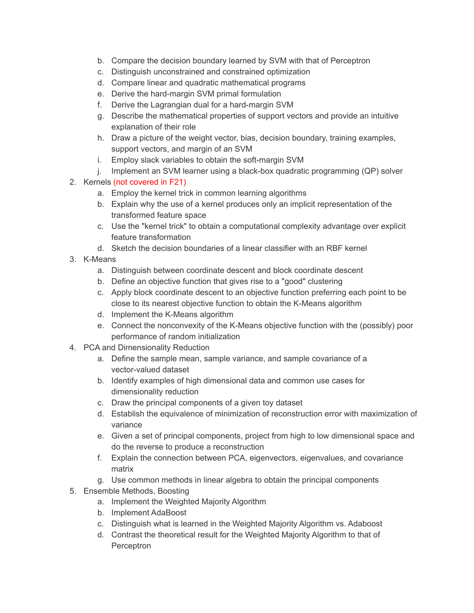- b. Compare the decision boundary learned by SVM with that of Perceptron
- c. Distinguish unconstrained and constrained optimization
- d. Compare linear and quadratic mathematical programs
- e. Derive the hard-margin SVM primal formulation
- f. Derive the Lagrangian dual for a hard-margin SVM
- g. Describe the mathematical properties of support vectors and provide an intuitive explanation of their role
- h. Draw a picture of the weight vector, bias, decision boundary, training examples, support vectors, and margin of an SVM
- i. Employ slack variables to obtain the soft-margin SVM
- j. Implement an SVM learner using a black-box quadratic programming (QP) solver

#### 2. Kernels (not covered in F21)

- a. Employ the kernel trick in common learning algorithms
- b. Explain why the use of a kernel produces only an implicit representation of the transformed feature space
- c. Use the "kernel trick" to obtain a computational complexity advantage over explicit feature transformation
- d. Sketch the decision boundaries of a linear classifier with an RBF kernel
- 3. K-Means
	- a. Distinguish between coordinate descent and block coordinate descent
	- b. Define an objective function that gives rise to a "good" clustering
	- c. Apply block coordinate descent to an objective function preferring each point to be close to its nearest objective function to obtain the K-Means algorithm
	- d. Implement the K-Means algorithm
	- e. Connect the nonconvexity of the K-Means objective function with the (possibly) poor performance of random initialization
- 4. PCA and Dimensionality Reduction
	- a. Define the sample mean, sample variance, and sample covariance of a vector-valued dataset
	- b. Identify examples of high dimensional data and common use cases for dimensionality reduction
	- c. Draw the principal components of a given toy dataset
	- d. Establish the equivalence of minimization of reconstruction error with maximization of variance
	- e. Given a set of principal components, project from high to low dimensional space and do the reverse to produce a reconstruction
	- f. Explain the connection between PCA, eigenvectors, eigenvalues, and covariance matrix
	- g. Use common methods in linear algebra to obtain the principal components
- 5. Ensemble Methods, Boosting
	- a. Implement the Weighted Majority Algorithm
	- b. Implement AdaBoost
	- c. Distinguish what is learned in the Weighted Majority Algorithm vs. Adaboost
	- d. Contrast the theoretical result for the Weighted Majority Algorithm to that of **Perceptron**